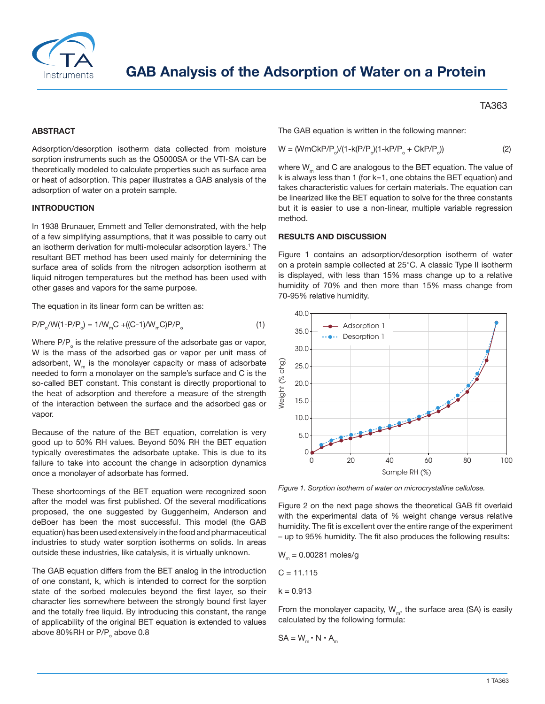

## **ABSTRACT**

Adsorption/desorption isotherm data collected from moisture sorption instruments such as the Q5000SA or the VTI-SA can be theoretically modeled to calculate properties such as surface area or heat of adsorption. This paper illustrates a GAB analysis of the adsorption of water on a protein sample.

## **INTRODUCTION**

In 1938 Brunauer, Emmett and Teller demonstrated, with the help of a few simplifying assumptions, that it was possible to carry out an isotherm derivation for multi-molecular adsorption layers.<sup>1</sup> The resultant BET method has been used mainly for determining the surface area of solids from the nitrogen adsorption isotherm at liquid nitrogen temperatures but the method has been used with other gases and vapors for the same purpose.

The equation in its linear form can be written as:

$$
P/P_0/W(1 - P/P_0) = 1/W_m C + ((C - 1)/W_m C)P/P_0
$$
 (1)

Where  $P/P<sub>o</sub>$  is the relative pressure of the adsorbate gas or vapor, W is the mass of the adsorbed gas or vapor per unit mass of adsorbent,  $W_m$  is the monolayer capacity or mass of adsorbate needed to form a monolayer on the sample's surface and C is the so-called BET constant. This constant is directly proportional to the heat of adsorption and therefore a measure of the strength of the interaction between the surface and the adsorbed gas or vapor.

Because of the nature of the BET equation, correlation is very good up to 50% RH values. Beyond 50% RH the BET equation typically overestimates the adsorbate uptake. This is due to its failure to take into account the change in adsorption dynamics once a monolayer of adsorbate has formed.

These shortcomings of the BET equation were recognized soon after the model was first published. Of the several modifications proposed, the one suggested by Guggenheim, Anderson and deBoer has been the most successful. This model (the GAB equation) has been used extensively in the food and pharmaceutical industries to study water sorption isotherms on solids. In areas outside these industries, like catalysis, it is virtually unknown.

The GAB equation differs from the BET analog in the introduction of one constant, k, which is intended to correct for the sorption state of the sorbed molecules beyond the first layer, so their character lies somewhere between the strongly bound first layer and the totally free liquid. By introducing this constant, the range of applicability of the original BET equation is extended to values above 80%RH or  $P/P_0$  above 0.8

TA363

The GAB equation is written in the following manner:

$$
W = (WmCkP/P_0)/(1 - k(P/P_0)(1 - kP/P_0 + CkP/P_0))
$$
 (2)

where  $W<sub>m</sub>$  and C are analogous to the BET equation. The value of k is always less than 1 (for k=1, one obtains the BET equation) and takes characteristic values for certain materials. The equation can be linearized like the BET equation to solve for the three constants but it is easier to use a non-linear, multiple variable regression method.

## **RESULTS AND DISCUSSION**

Figure 1 contains an adsorption/desorption isotherm of water on a protein sample collected at 25°C. A classic Type II isotherm is displayed, with less than 15% mass change up to a relative humidity of 70% and then more than 15% mass change from 70-95% relative humidity.



*Figure 1. Sorption isotherm of water on microcrystalline cellulose.*

Figure 2 on the next page shows the theoretical GAB fit overlaid with the experimental data of % weight change versus relative humidity. The fit is excellent over the entire range of the experiment – up to 95% humidity. The fit also produces the following results:

 $W_m = 0.00281$  moles/g

$$
C = 11.115
$$

 $k = 0.913$ 

From the monolayer capacity,  $W_m$ , the surface area (SA) is easily calculated by the following formula:

$$
SA = W_m \cdot N \cdot A_m
$$